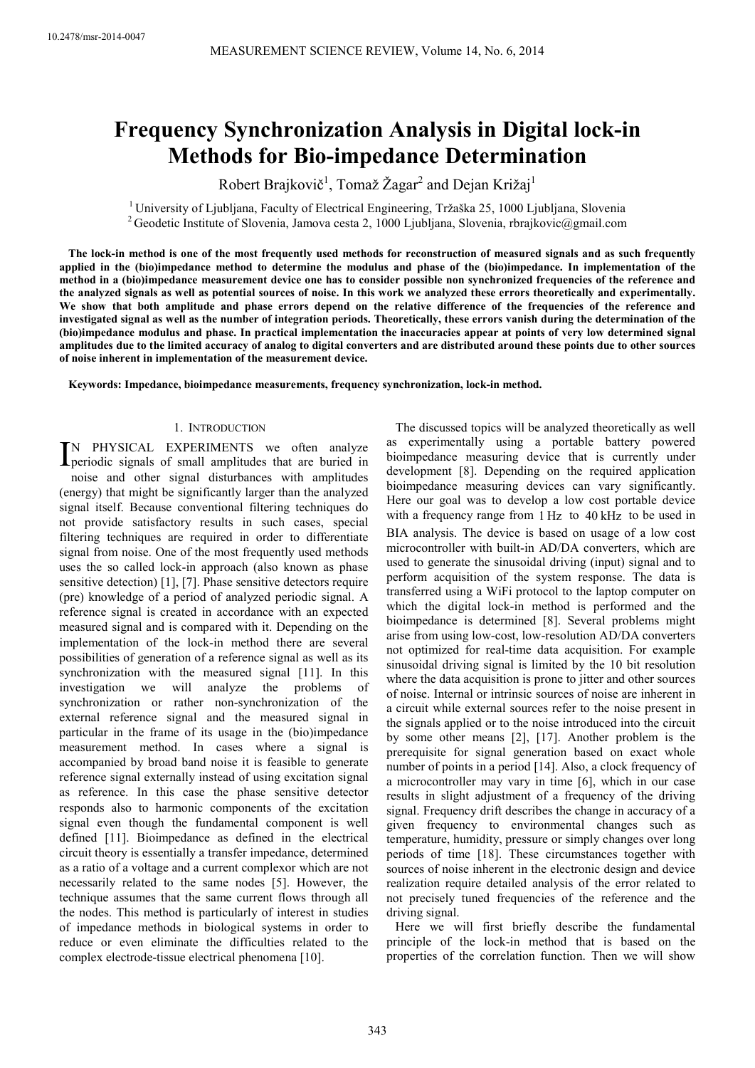# **Frequency Synchronization Analysis in Digital lock-in Methods for Bio-impedance Determination**

Robert Brajkovič<sup>1</sup>, Tomaž Žagar<sup>2</sup> and Dejan Križaj<sup>1</sup>

<sup>1</sup> University of Ljubljana, Faculty of Electrical Engineering, Tržaška 25, 1000 Ljubljana, Slovenia <sup>2</sup> Geodetic Institute of Slovenia, Jamova cesta 2, 1000 Ljubljana, Slovenia, rbrajkovic@gmail.com

**The lock-in method is one of the most frequently used methods for reconstruction of measured signals and as such frequently applied in the (bio)impedance method to determine the modulus and phase of the (bio)impedance. In implementation of the method in a (bio)impedance measurement device one has to consider possible non synchronized frequencies of the reference and the analyzed signals as well as potential sources of noise. In this work we analyzed these errors theoretically and experimentally. We show that both amplitude and phase errors depend on the relative difference of the frequencies of the reference and investigated signal as well as the number of integration periods. Theoretically, these errors vanish during the determination of the (bio)impedance modulus and phase. In practical implementation the inaccuracies appear at points of very low determined signal amplitudes due to the limited accuracy of analog to digital converters and are distributed around these points due to other sources of noise inherent in implementation of the measurement device.** 

**Keywords: Impedance, bioimpedance measurements, frequency synchronization, lock-in method.** 

# 1. INTRODUCTION

N PHYSICAL EXPERIMENTS we often analyze IN PHYSICAL EXPERIMENTS we often analyze<br>
periodic signals of small amplitudes that are buried in noise and other signal disturbances with amplitudes (energy) that might be significantly larger than the analyzed signal itself. Because conventional filtering techniques do not provide satisfactory results in such cases, special filtering techniques are required in order to differentiate signal from noise. One of the most frequently used methods uses the so called lock-in approach (also known as phase sensitive detection) [1], [7]. Phase sensitive detectors require (pre) knowledge of a period of analyzed periodic signal. A reference signal is created in accordance with an expected measured signal and is compared with it. Depending on the implementation of the lock-in method there are several possibilities of generation of a reference signal as well as its synchronization with the measured signal [11]. In this investigation we will analyze the problems of synchronization or rather non-synchronization of the external reference signal and the measured signal in particular in the frame of its usage in the (bio)impedance measurement method. In cases where a signal is accompanied by broad band noise it is feasible to generate reference signal externally instead of using excitation signal as reference. In this case the phase sensitive detector responds also to harmonic components of the excitation signal even though the fundamental component is well defined [11]. Bioimpedance as defined in the electrical circuit theory is essentially a transfer impedance, determined as a ratio of a voltage and a current complexor which are not necessarily related to the same nodes [5]. However, the technique assumes that the same current flows through all the nodes. This method is particularly of interest in studies of impedance methods in biological systems in order to reduce or even eliminate the difficulties related to the complex electrode-tissue electrical phenomena [10].

The discussed topics will be analyzed theoretically as well as experimentally using a portable battery powered bioimpedance measuring device that is currently under development [8]. Depending on the required application bioimpedance measuring devices can vary significantly. Here our goal was to develop a low cost portable device with a frequency range from 1 Hz to 40 kHz to be used in BIA analysis. The device is based on usage of a low cost microcontroller with built-in AD/DA converters, which are used to generate the sinusoidal driving (input) signal and to perform acquisition of the system response. The data is transferred using a WiFi protocol to the laptop computer on which the digital lock-in method is performed and the bioimpedance is determined [8]. Several problems might arise from using low-cost, low-resolution AD/DA converters not optimized for real-time data acquisition. For example sinusoidal driving signal is limited by the 10 bit resolution where the data acquisition is prone to jitter and other sources of noise. Internal or intrinsic sources of noise are inherent in a circuit while external sources refer to the noise present in the signals applied or to the noise introduced into the circuit by some other means [2], [17]. Another problem is the prerequisite for signal generation based on exact whole number of points in a period [14]. Also, a clock frequency of a microcontroller may vary in time [6], which in our case results in slight adjustment of a frequency of the driving signal. Frequency drift describes the change in accuracy of a given frequency to environmental changes such as temperature, humidity, pressure or simply changes over long periods of time [18]. These circumstances together with sources of noise inherent in the electronic design and device realization require detailed analysis of the error related to not precisely tuned frequencies of the reference and the driving signal.

Here we will first briefly describe the fundamental principle of the lock-in method that is based on the properties of the correlation function. Then we will show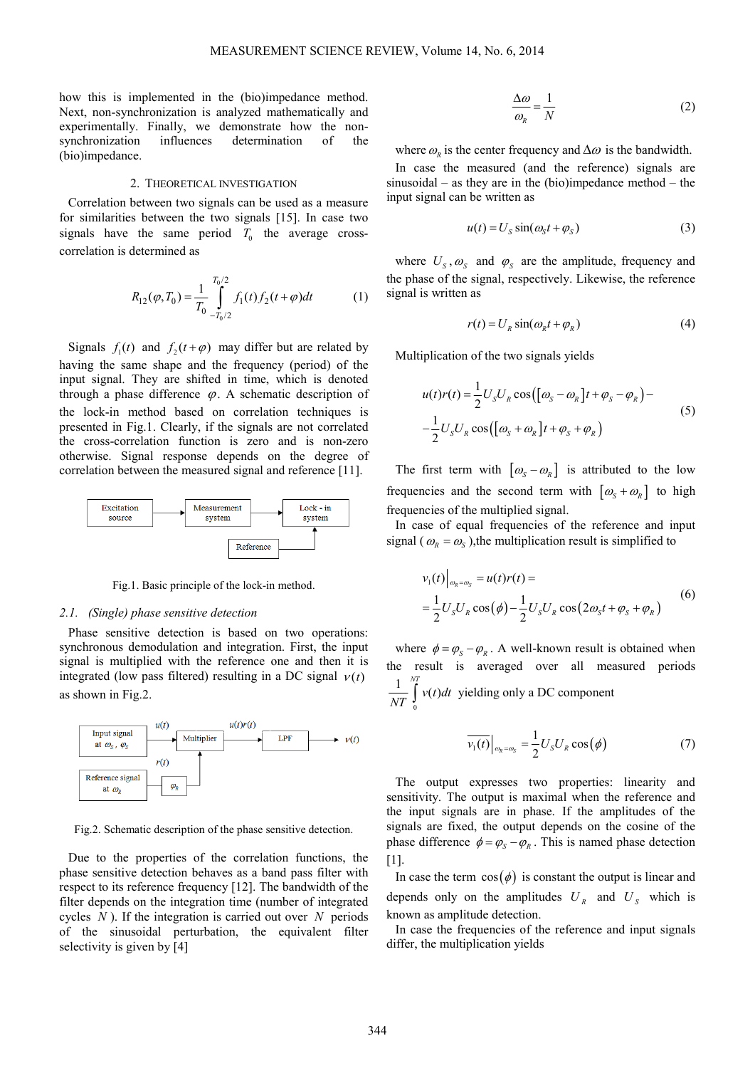how this is implemented in the (bio)impedance method. Next, non-synchronization is analyzed mathematically and experimentally. Finally, we demonstrate how the nonsynchronization influences determination of the (bio)impedance.

#### 2. THEORETICAL INVESTIGATION

Correlation between two signals can be used as a measure for similarities between the two signals [15]. In case two signals have the same period  $T_0$  the average crosscorrelation is determined as

$$
R_{12}(\varphi, T_0) = \frac{1}{T_0} \int_{-T_0/2}^{T_0/2} f_1(t) f_2(t + \varphi) dt \tag{1}
$$

Signals  $f_1(t)$  and  $f_2(t+\varphi)$  may differ but are related by having the same shape and the frequency (period) of the input signal. They are shifted in time, which is denoted through a phase difference  $\varphi$ . A schematic description of the lock-in method based on correlation techniques is presented in Fig.1. Clearly, if the signals are not correlated the cross-correlation function is zero and is non-zero otherwise. Signal response depends on the degree of correlation between the measured signal and reference [11].



Fig.1. Basic principle of the lock-in method.

## *2.1. (Single) phase sensitive detection*

Phase sensitive detection is based on two operations: synchronous demodulation and integration. First, the input signal is multiplied with the reference one and then it is integrated (low pass filtered) resulting in a DC signal  $v(t)$ as shown in Fig.2.



Fig.2. Schematic description of the phase sensitive detection.

Due to the properties of the correlation functions, the phase sensitive detection behaves as a band pass filter with respect to its reference frequency [12]. The bandwidth of the filter depends on the integration time (number of integrated cycles *N* ). If the integration is carried out over *N* periods of the sinusoidal perturbation, the equivalent filter selectivity is given by [4]

$$
\frac{\Delta \omega}{\omega_R} = \frac{1}{N} \tag{2}
$$

where  $\omega_R$  is the center frequency and  $\Delta\omega$  is the bandwidth. In case the measured (and the reference) signals are sinusoidal – as they are in the (bio)impedance method – the input signal can be written as

$$
u(t) = U_s \sin(\omega_s t + \varphi_s)
$$
 (3)

where  $U_s$ ,  $\omega_s$  and  $\varphi_s$  are the amplitude, frequency and the phase of the signal, respectively. Likewise, the reference signal is written as

$$
r(t) = U_R \sin(\omega_R t + \varphi_R)
$$
 (4)

Multiplication of the two signals yields

$$
u(t)r(t) = \frac{1}{2}U_sU_R \cos([\omega_s - \omega_R]t + \varphi_s - \varphi_R) -
$$
  

$$
-\frac{1}{2}U_sU_R \cos([\omega_s + \omega_R]t + \varphi_s + \varphi_R)
$$
 (5)

The first term with  $\left[\omega_s - \omega_R\right]$  is attributed to the low frequencies and the second term with  $\left[\omega_s + \omega_R\right]$  to high frequencies of the multiplied signal.

In case of equal frequencies of the reference and input signal ( $\omega_R = \omega_s$ ), the multiplication result is simplified to

$$
v_1(t)|_{\omega_R = \omega_S} = u(t)r(t) =
$$
  
=  $\frac{1}{2}U_S U_R \cos(\phi) - \frac{1}{2}U_S U_R \cos(2\omega_S t + \varphi_S + \varphi_R)$  (6)

where  $\phi = \varphi_s - \varphi_p$ . A well-known result is obtained when the result is averaged over all measured periods 0  $\frac{1}{\sqrt{2}} \int_{0}^{M} v(t) dt$ *NT*  $\frac{1}{NT}$  *y*(*t*)*dt* yielding only a DC component

$$
\overline{v_1(t)}\Big|_{\omega_R = \omega_S} = \frac{1}{2} U_S U_R \cos(\phi) \tag{7}
$$

The output expresses two properties: linearity and sensitivity. The output is maximal when the reference and the input signals are in phase. If the amplitudes of the signals are fixed, the output depends on the cosine of the phase difference  $\phi = \varphi_s - \varphi_R$ . This is named phase detection [1].

In case the term  $cos(\phi)$  is constant the output is linear and depends only on the amplitudes  $U_R$  and  $U_S$  which is known as amplitude detection.

In case the frequencies of the reference and input signals differ, the multiplication yields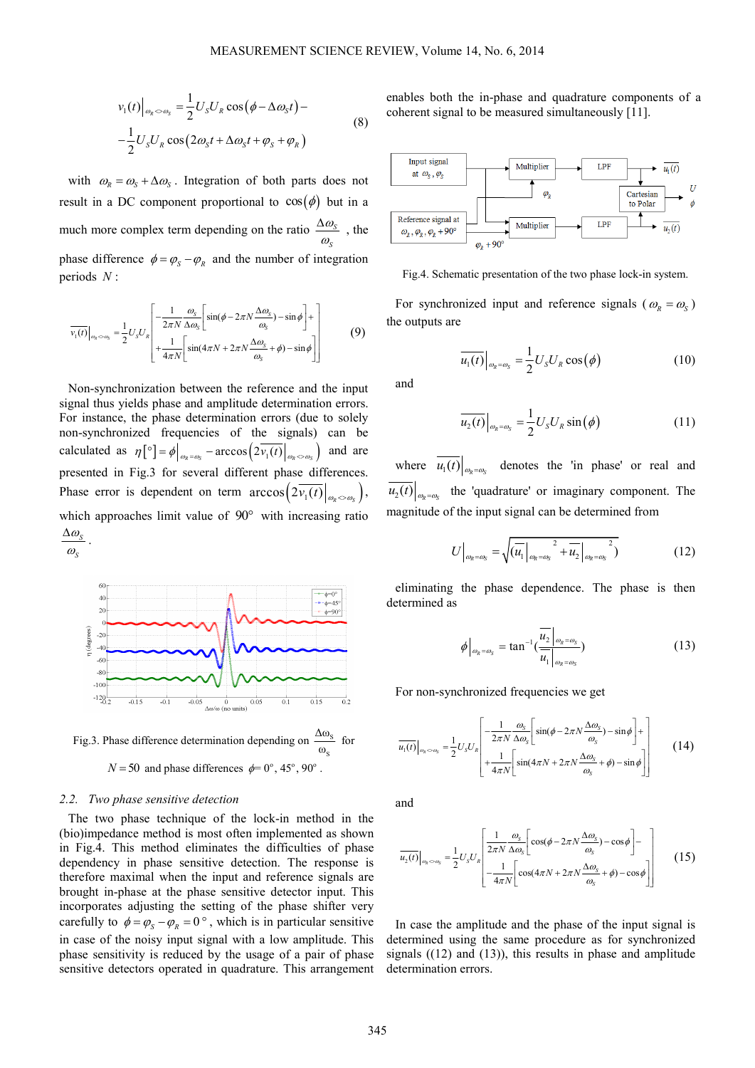$$
v_1(t)\Big|_{\omega_R > \omega_S} = \frac{1}{2} U_S U_R \cos(\phi - \Delta \omega_S t) -
$$
  

$$
-\frac{1}{2} U_S U_R \cos(2\omega_S t + \Delta \omega_S t + \varphi_S + \varphi_R)
$$
 (8)

with  $\omega_R = \omega_S + \Delta \omega_S$ . Integration of both parts does not result in a DC component proportional to  $cos(\phi)$  but in a much more complex term depending on the ratio  $\frac{\Delta \omega_s}{\Delta \omega_s}$ *S* ω  $\frac{\Delta \omega_s}{\Delta}$ , the phase difference  $\phi = \varphi_s - \varphi_R$  and the number of integration periods *N* :

$$
\overline{v_1(t)}\Big|_{\omega_R > \omega_S} = \frac{1}{2} U_S U_R \left[ \frac{-\frac{1}{2\pi N} \frac{\omega_S}{\Delta \omega_S} \left[ \sin(\phi - 2\pi N \frac{\Delta \omega_S}{\omega_S}) - \sin \phi \right] + \frac{1}{4\pi N} \left[ \sin(4\pi N + 2\pi N \frac{\Delta \omega_S}{\omega_S} + \phi) - \sin \phi \right] \right]
$$
(9)

Non-synchronization between the reference and the input signal thus yields phase and amplitude determination errors. For instance, the phase determination errors (due to solely non-synchronized frequencies of the signals) can be calculated as  $\eta[\circ] = \phi|_{\omega_R = \omega_s} - \arccos\left(2\overline{v_1(t)}\Big|_{\omega_R < \omega_s}\right)$  and are presented in Fig.3 for several different phase differences. Phase error is dependent on term  $\arccos(2v_1(t)|_{\omega_{\infty} > \omega_{\infty}})$ , which approaches limit value of 90° with increasing ratio  $Δω<sub>S</sub>$ .





Fig.3. Phase difference determination depending on  $\frac{\Delta \omega_s}{\Delta \omega_s}$ S ∆ω  $\frac{dS}{dS}$  for  $N = 50$  and phase differences  $\phi = 0^\circ$ , 45<sup>o</sup>, 90<sup>o</sup>.

#### *2.2. Two phase sensitive detection*

The two phase technique of the lock-in method in the (bio)impedance method is most often implemented as shown in Fig.4. This method eliminates the difficulties of phase dependency in phase sensitive detection. The response is therefore maximal when the input and reference signals are brought in-phase at the phase sensitive detector input. This incorporates adjusting the setting of the phase shifter very carefully to  $\phi = \varphi_s - \varphi_R = 0^\circ$ , which is in particular sensitive in case of the noisy input signal with a low amplitude. This phase sensitivity is reduced by the usage of a pair of phase sensitive detectors operated in quadrature. This arrangement enables both the in-phase and quadrature components of a coherent signal to be measured simultaneously [11].



Fig.4. Schematic presentation of the two phase lock-in system.

For synchronized input and reference signals ( $\omega_R = \omega_S$ ) the outputs are

$$
\overline{u_1(t)}\Big|_{\omega_R = \omega_S} = \frac{1}{2} U_S U_R \cos(\phi) \tag{10}
$$

and

$$
\overline{u_2(t)}\big|_{\omega_R = \omega_S} = \frac{1}{2} U_S U_R \sin(\phi) \tag{11}
$$

where  $u_1(t)|_{\omega_R = \omega_S}$  denotes the 'in phase' or real and  $u_2(t)|_{\omega_R = \omega_S}$  the 'quadrature' or imaginary component. The magnitude of the input signal can be determined from

$$
U\Big|_{\omega_{R}=\omega_{S}}=\sqrt{(\overline{u_{1}}\Big|_{\omega_{R}=\omega_{S}}^{2}+\overline{u_{2}}\Big|_{\omega_{R}=\omega_{S}}^{2})}
$$
(12)

eliminating the phase dependence. The phase is then determined as

$$
\phi\Big|_{\omega_R = \omega_S} = \tan^{-1}(\frac{\overline{u_2}\Big|_{\omega_R = \omega_S}}{\overline{u_1}\Big|_{\omega_R = \omega_S}})
$$
(13)

For non-synchronized frequencies we get

$$
\overline{u_1(t)}\Big|_{\omega_R > \omega_S} = \frac{1}{2} U_S U_R \left[ -\frac{1}{2\pi N} \frac{\omega_S}{\Delta \omega_S} \left[ \sin(\phi - 2\pi N \frac{\Delta \omega_S}{\omega_S}) - \sin \phi \right] + \frac{1}{4\pi N} \left[ \sin(4\pi N + 2\pi N \frac{\Delta \omega_S}{\omega_S} + \phi) - \sin \phi \right] \right]
$$
(14)

and

$$
\overline{u_2(t)}\Big|_{\omega_s \sim \omega_s} = \frac{1}{2} U_s U_s \left[ \frac{\frac{1}{2\pi N} \frac{\omega_s}{\Delta \omega_s} \left[ \cos(\phi - 2\pi N \frac{\Delta \omega_s}{\omega_s}) - \cos \phi \right] - \frac{1}{2\pi N \left[ \cos(4\pi N + 2\pi N \frac{\Delta \omega_s}{\omega_s} + \phi) - \cos \phi \right]} \right]
$$
(15)

In case the amplitude and the phase of the input signal is determined using the same procedure as for synchronized signals  $((12)$  and  $((13))$ , this results in phase and amplitude determination errors.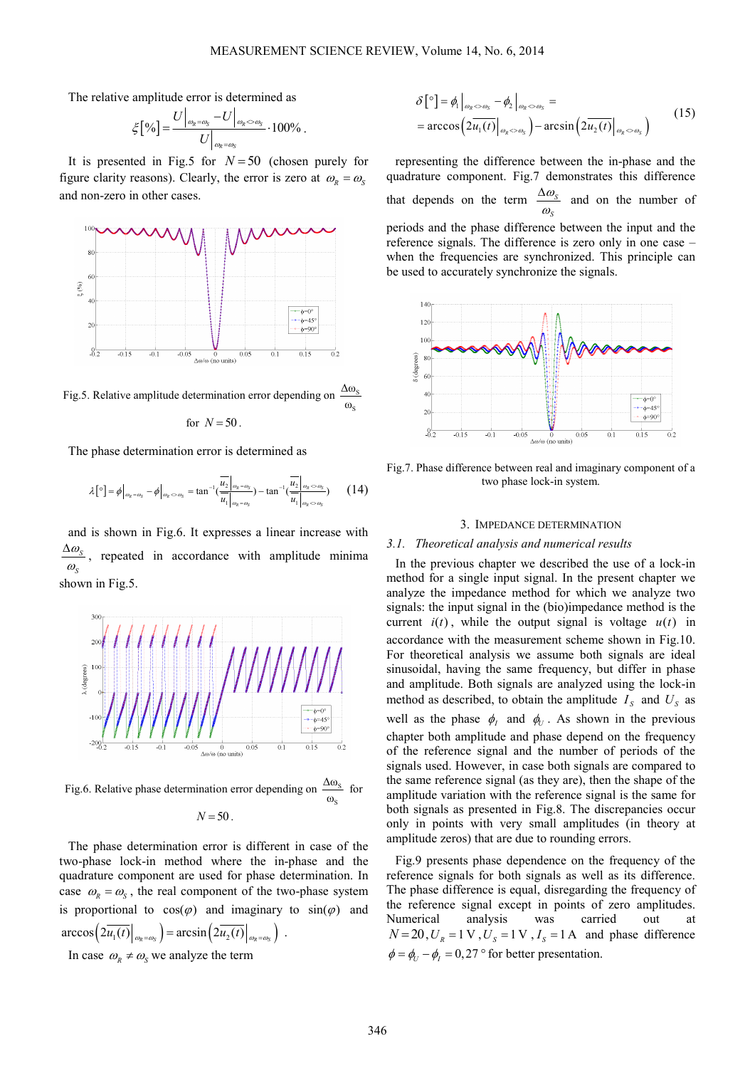The relative amplitude error is determined as

$$
\xi[\%] = \frac{U\big|_{\omega_{\mathbb{R}} = \omega_{\mathbb{S}}} - U\big|_{\omega_{\mathbb{R}} \sim \omega_{\mathbb{S}}} \cdot 100\%}{U\big|_{\omega_{\mathbb{R}} = \omega_{\mathbb{S}}} \cdot 100\%}.
$$

It is presented in Fig.5 for  $N = 50$  (chosen purely for figure clarity reasons). Clearly, the error is zero at  $\omega_p = \omega_s$ and non-zero in other cases.



Fig.5. Relative amplitude determination error depending on S ∆ω ω for  $N = 50$ .

The phase determination error is determined as

$$
\lambda[\mathbf{C}] = \phi|_{\omega_{\mathbf{R}} = \omega_{\mathbf{S}}} - \phi|_{\omega_{\mathbf{R}} \sim \omega_{\mathbf{S}}} = \tan^{-1}(\frac{\overline{u_2}|_{\omega_{\mathbf{R}} = \omega_{\mathbf{S}}}}{\overline{u_1}|_{\omega_{\mathbf{R}} = \omega_{\mathbf{S}}}}) - \tan^{-1}(\frac{\overline{u_2}|_{\omega_{\mathbf{R}} \sim \omega_{\mathbf{S}}}}{\overline{u_1}|_{\omega_{\mathbf{R}} \sim \omega_{\mathbf{S}}}}) \qquad (14)
$$

and is shown in Fig.6. It expresses a linear increase with  $Δω<sub>S</sub>$  $\omega_{\rm s}$ , repeated in accordance with amplitude minima shown in Fig.5.



Fig.6. Relative phase determination error depending on  $\frac{\Delta\omega_s}{\Delta\omega_s}$ S ∆ω  $\frac{100s}{\omega_s}$  for  $N - 50$ 

The phase determination error is different in case of the two-phase lock-in method where the in-phase and the quadrature component are used for phase determination. In case  $\omega_{R} = \omega_{S}$ , the real component of the two-phase system is proportional to  $cos(\varphi)$  and imaginary to  $sin(\varphi)$  and  $\arccos \left( 2 \overline{u_1(t)} \bigg|_{\omega_p = \omega_s} \right) = \arcsin \left( 2 \overline{u_2(t)} \bigg|_{\omega_p = \omega_s} \right)$ .

In case  $\omega_{R} \neq \omega_{S}$  we analyze the term

$$
\delta[\circ] = \phi_1|_{\omega_R \sim \omega_S} - \phi_2|_{\omega_R \sim \omega_S} =
$$
\n
$$
= \arccos\left(2\overline{u_1(t)}\Big|_{\omega_R \sim \omega_S}\right) - \arcsin\left(2\overline{u_2(t)}\Big|_{\omega_R \sim \omega_S}\right) \tag{15}
$$

representing the difference between the in-phase and the quadrature component. Fig.7 demonstrates this difference that depends on the term *S*  $Δω$ ω and on the number of periods and the phase difference between the input and the reference signals. The difference is zero only in one case – when the frequencies are synchronized. This principle can be used to accurately synchronize the signals.



Fig.7. Phase difference between real and imaginary component of a two phase lock-in system.

### 3. IMPEDANCE DETERMINATION

#### *3.1. Theoretical analysis and numerical results*

In the previous chapter we described the use of a lock-in method for a single input signal. In the present chapter we analyze the impedance method for which we analyze two signals: the input signal in the (bio)impedance method is the current  $i(t)$ , while the output signal is voltage  $u(t)$  in accordance with the measurement scheme shown in Fig.10. For theoretical analysis we assume both signals are ideal sinusoidal, having the same frequency, but differ in phase and amplitude. Both signals are analyzed using the lock-in method as described, to obtain the amplitude  $I_s$  and  $U_s$  as well as the phase  $\phi_I$  and  $\phi_U$ . As shown in the previous chapter both amplitude and phase depend on the frequency of the reference signal and the number of periods of the signals used. However, in case both signals are compared to the same reference signal (as they are), then the shape of the amplitude variation with the reference signal is the same for both signals as presented in Fig.8. The discrepancies occur only in points with very small amplitudes (in theory at amplitude zeros) that are due to rounding errors.

Fig.9 presents phase dependence on the frequency of the reference signals for both signals as well as its difference. The phase difference is equal, disregarding the frequency of the reference signal except in points of zero amplitudes. Numerical analysis was carried out at  $N = 20$ ,  $U_R = 1$  V,  $U_S = 1$  V,  $I_S = 1$  A and phase difference  $\phi = \phi_{\rm tr} - \phi_{\rm r} = 0.27$  ° for better presentation.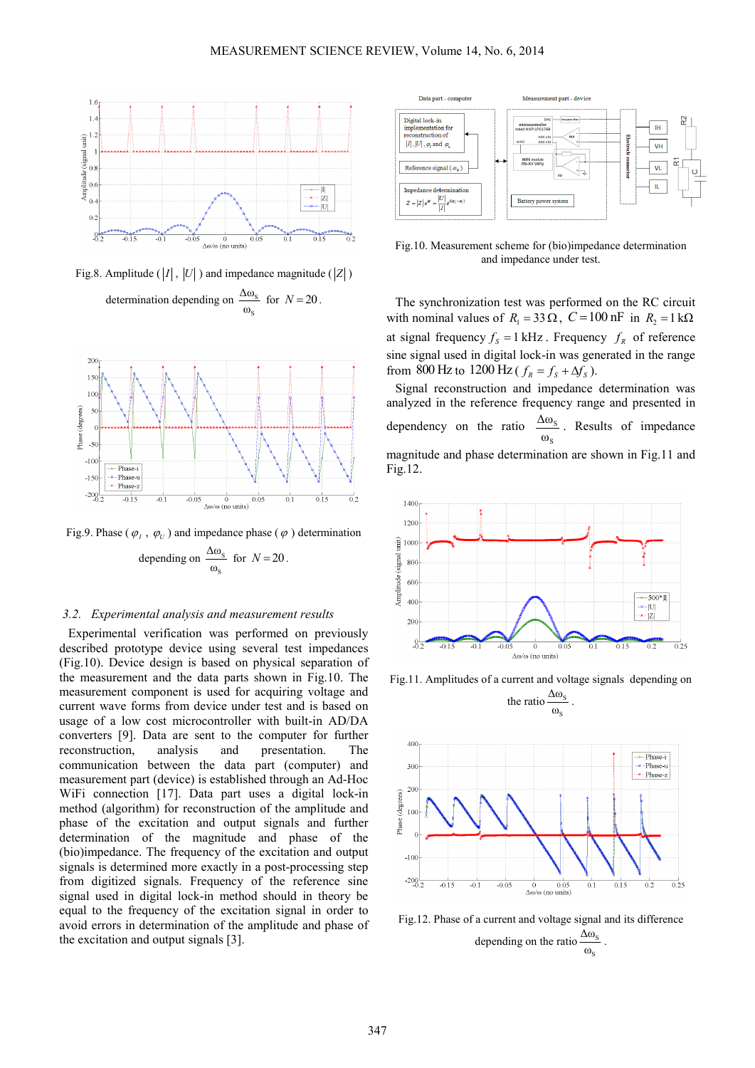

Fig.8. Amplitude ( $|I|$ ,  $|U|$ ) and impedance magnitude ( $|Z|$ )





Fig.9. Phase ( $\varphi_I$ ,  $\varphi_U$ ) and impedance phase ( $\varphi$ ) determination

depending on  $\frac{\Delta \omega_s}{\Delta \omega_s}$ S ∆ω  $\frac{\Delta \omega_s}{\omega_s}$  for  $N = 20$ .

## *3.2. Experimental analysis and measurement results*

Experimental verification was performed on previously described prototype device using several test impedances (Fig.10). Device design is based on physical separation of the measurement and the data parts shown in Fig.10. The measurement component is used for acquiring voltage and current wave forms from device under test and is based on usage of a low cost microcontroller with built-in AD/DA converters [9]. Data are sent to the computer for further reconstruction, analysis and presentation. The communication between the data part (computer) and measurement part (device) is established through an Ad-Hoc WiFi connection [17]. Data part uses a digital lock-in method (algorithm) for reconstruction of the amplitude and phase of the excitation and output signals and further determination of the magnitude and phase of the (bio)impedance. The frequency of the excitation and output signals is determined more exactly in a post-processing step from digitized signals. Frequency of the reference sine signal used in digital lock-in method should in theory be equal to the frequency of the excitation signal in order to avoid errors in determination of the amplitude and phase of the excitation and output signals [3].



Fig.10. Measurement scheme for (bio)impedance determination and impedance under test.

The synchronization test was performed on the RC circuit with nominal values of  $R_1 = 33 \Omega$ ,  $C = 100 \text{ nF}$  in  $R_2 = 1 \text{ k}\Omega$ at signal frequency  $f_s = 1$  kHz. Frequency  $f_R$  of reference sine signal used in digital lock-in was generated in the range from 800 Hz to 1200 Hz ( $f_R = f_S + \Delta f_S$ ).

Signal reconstruction and impedance determination was analyzed in the reference frequency range and presented in dependency on the ratio S ∆ω  $\frac{\Delta \omega_s}{\omega_s}$ . Results of impedance magnitude and phase determination are shown in Fig.11 and Fig.12.



Fig.11. Amplitudes of a current and voltage signals depending on the ratio  $\frac{\Delta \omega_{s}}{\Delta \omega_{s}}$ 

S ω .



Fig.12. Phase of a current and voltage signal and its difference depending on the ratio  $\frac{\Delta \omega_s}{\Delta \omega_s}$ S ∆ω ω .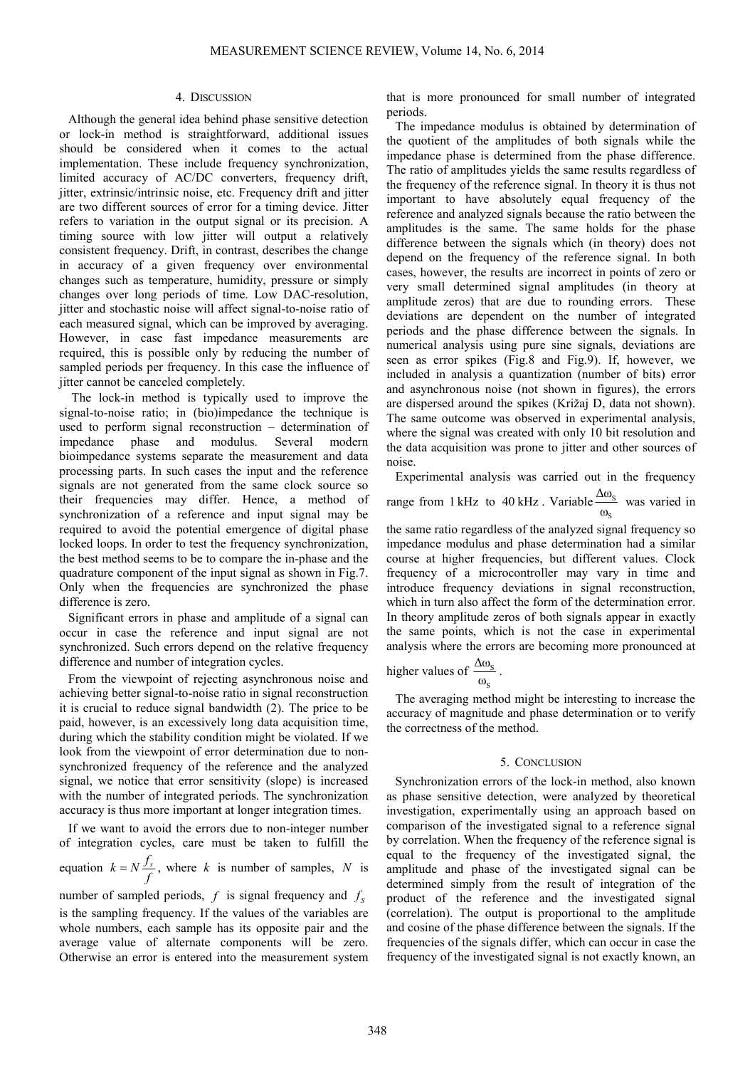## 4. DISCUSSION

Although the general idea behind phase sensitive detection or lock-in method is straightforward, additional issues should be considered when it comes to the actual implementation. These include frequency synchronization, limited accuracy of AC/DC converters, frequency drift, jitter, extrinsic/intrinsic noise, etc. Frequency drift and jitter are two different sources of error for a timing device. Jitter refers to variation in the output signal or its precision. A timing source with low jitter will output a relatively consistent frequency. Drift, in contrast, describes the change in accuracy of a given frequency over environmental changes such as temperature, humidity, pressure or simply changes over long periods of time. Low DAC-resolution, jitter and stochastic noise will affect signal-to-noise ratio of each measured signal, which can be improved by averaging. However, in case fast impedance measurements are required, this is possible only by reducing the number of sampled periods per frequency. In this case the influence of jitter cannot be canceled completely.

 The lock-in method is typically used to improve the signal-to-noise ratio; in (bio)impedance the technique is used to perform signal reconstruction – determination of impedance phase and modulus. Several modern bioimpedance systems separate the measurement and data processing parts. In such cases the input and the reference signals are not generated from the same clock source so their frequencies may differ. Hence, a method of synchronization of a reference and input signal may be required to avoid the potential emergence of digital phase locked loops. In order to test the frequency synchronization, the best method seems to be to compare the in-phase and the quadrature component of the input signal as shown in Fig.7. Only when the frequencies are synchronized the phase difference is zero.

Significant errors in phase and amplitude of a signal can occur in case the reference and input signal are not synchronized. Such errors depend on the relative frequency difference and number of integration cycles.

From the viewpoint of rejecting asynchronous noise and achieving better signal-to-noise ratio in signal reconstruction it is crucial to reduce signal bandwidth (2). The price to be paid, however, is an excessively long data acquisition time, during which the stability condition might be violated. If we look from the viewpoint of error determination due to nonsynchronized frequency of the reference and the analyzed signal, we notice that error sensitivity (slope) is increased with the number of integrated periods. The synchronization accuracy is thus more important at longer integration times.

If we want to avoid the errors due to non-integer number of integration cycles, care must be taken to fulfill the

equation  $k = N \frac{f_s}{f}$ , where *k* is number of samples, *N* is

number of sampled periods,  $f$  is signal frequency and  $f_s$ is the sampling frequency. If the values of the variables are whole numbers, each sample has its opposite pair and the average value of alternate components will be zero. Otherwise an error is entered into the measurement system that is more pronounced for small number of integrated periods.

The impedance modulus is obtained by determination of the quotient of the amplitudes of both signals while the impedance phase is determined from the phase difference. The ratio of amplitudes yields the same results regardless of the frequency of the reference signal. In theory it is thus not important to have absolutely equal frequency of the reference and analyzed signals because the ratio between the amplitudes is the same. The same holds for the phase difference between the signals which (in theory) does not depend on the frequency of the reference signal. In both cases, however, the results are incorrect in points of zero or very small determined signal amplitudes (in theory at amplitude zeros) that are due to rounding errors. These deviations are dependent on the number of integrated periods and the phase difference between the signals. In numerical analysis using pure sine signals, deviations are seen as error spikes (Fig.8 and Fig.9). If, however, we included in analysis a quantization (number of bits) error and asynchronous noise (not shown in figures), the errors are dispersed around the spikes (Križaj D, data not shown). The same outcome was observed in experimental analysis, where the signal was created with only 10 bit resolution and the data acquisition was prone to jitter and other sources of noise.

Experimental analysis was carried out in the frequency range from  $1 \text{ kHz}$  to  $40 \text{ kHz}$ . Variable  $\frac{\Delta \omega_s}{\Delta \omega_s}$ S ∆ω  $\frac{\Delta \omega_s}{\omega_s}$  was varied in the same ratio regardless of the analyzed signal frequency so

impedance modulus and phase determination had a similar course at higher frequencies, but different values. Clock frequency of a microcontroller may vary in time and introduce frequency deviations in signal reconstruction, which in turn also affect the form of the determination error. In theory amplitude zeros of both signals appear in exactly the same points, which is not the case in experimental analysis where the errors are becoming more pronounced at

higher values of  $\frac{\Delta \omega_S}{\Delta \omega_S}$ S ∆ω  $\frac{\Delta \omega_{\rm S}}{\omega_{\rm S}}$ .

The averaging method might be interesting to increase the accuracy of magnitude and phase determination or to verify the correctness of the method.

# 5. CONCLUSION

Synchronization errors of the lock-in method, also known as phase sensitive detection, were analyzed by theoretical investigation, experimentally using an approach based on comparison of the investigated signal to a reference signal by correlation. When the frequency of the reference signal is equal to the frequency of the investigated signal, the amplitude and phase of the investigated signal can be determined simply from the result of integration of the product of the reference and the investigated signal (correlation). The output is proportional to the amplitude and cosine of the phase difference between the signals. If the frequencies of the signals differ, which can occur in case the frequency of the investigated signal is not exactly known, an